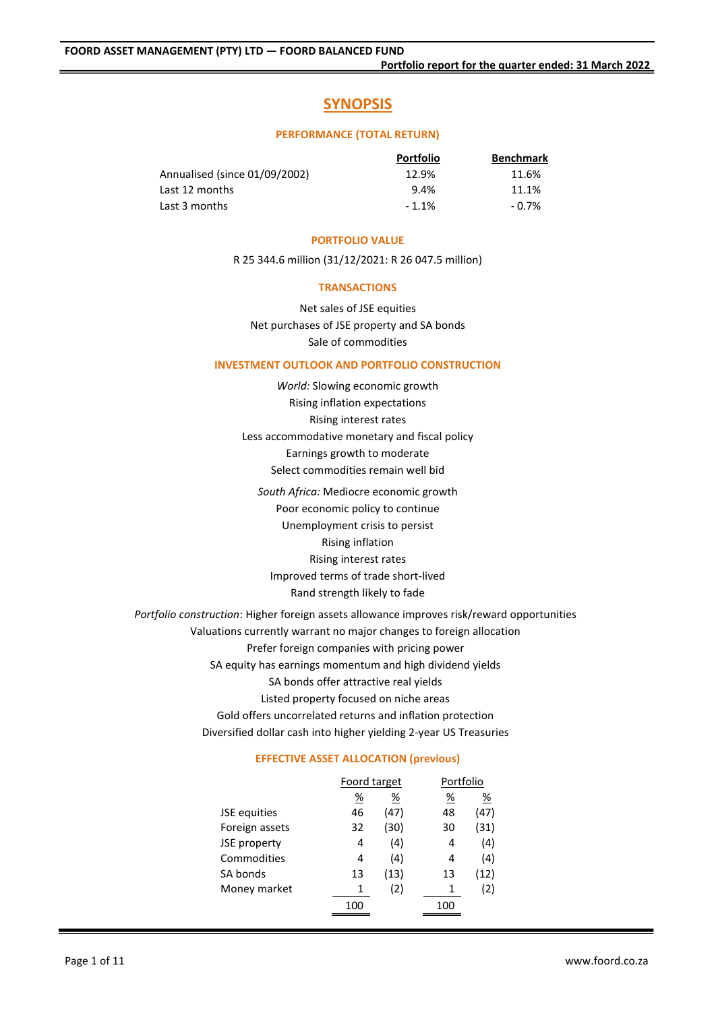# **SYNOPSIS**

#### **PERFORMANCE (TOTAL RETURN)**

|                               | <b>Portfolio</b> | <b>Benchmark</b> |
|-------------------------------|------------------|------------------|
| Annualised (since 01/09/2002) | 12.9%            | 11.6%            |
| Last 12 months                | 9.4%             | 11.1%            |
| Last 3 months                 | $-1.1%$          | $-0.7\%$         |

#### **PORTFOLIO VALUE**

R 25 344.6 million (31/12/2021: R 26 047.5 million)

#### **TRANSACTIONS**

Net sales of JSE equities Net purchases of JSE property and SA bonds Sale of commodities

## **INVESTMENT OUTLOOK AND PORTFOLIO CONSTRUCTION**

- *World:* Slowing economic growth Rising inflation expectations Rising interest rates Less accommodative monetary and fiscal policy Earnings growth to moderate Select commodities remain well bid
	- *South Africa:* Mediocre economic growth Poor economic policy to continue Unemployment crisis to persist Rising inflation Rising interest rates Improved terms of trade short-lived Rand strength likely to fade

*Portfolio construction*: Higher foreign assets allowance improves risk/reward opportunities Valuations currently warrant no major changes to foreign allocation Prefer foreign companies with pricing power SA equity has earnings momentum and high dividend yields SA bonds offer attractive real yields Listed property focused on niche areas Gold offers uncorrelated returns and inflation protection Diversified dollar cash into higher yielding 2-year US Treasuries

## **EFFECTIVE ASSET ALLOCATION (previous)**

|                | Foord target          |      | Portfolio |                       |  |
|----------------|-----------------------|------|-----------|-----------------------|--|
|                | $\frac{\%}{\sqrt{2}}$ | %    | <u>%</u>  | $\frac{\%}{\sqrt{2}}$ |  |
| JSE equities   | 46                    | (47) | 48        | (47)                  |  |
| Foreign assets | 32                    | (30) | 30        | (31)                  |  |
| JSE property   | 4                     | (4)  | 4         | (4)                   |  |
| Commodities    | 4                     | (4)  | 4         | (4)                   |  |
| SA bonds       | 13                    | (13) | 13        | (12)                  |  |
| Money market   | 1                     | (2)  | 1         | (2)                   |  |
|                | 100                   |      | 100       |                       |  |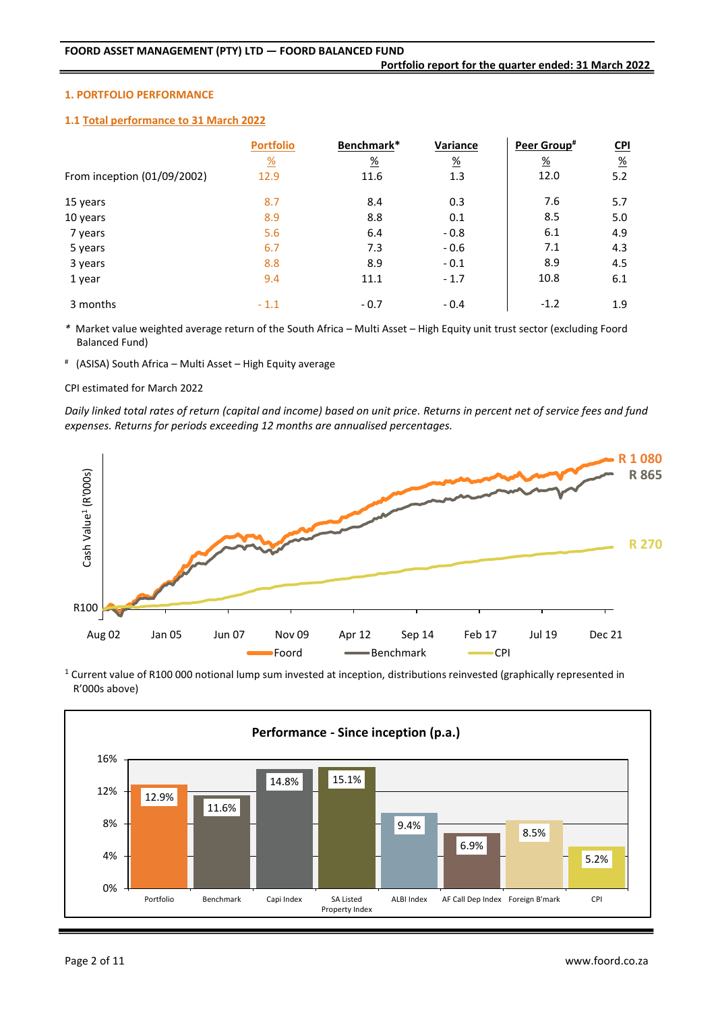### **1. PORTFOLIO PERFORMANCE**

### **1.1 Total performance to 31 March 2022**

|                             | <b>Portfolio</b> | Benchmark*    | Variance        | Peer Group#      | $CD1$         |
|-----------------------------|------------------|---------------|-----------------|------------------|---------------|
|                             | $\frac{9}{6}$    | $\frac{9}{6}$ | $\frac{\%}{\%}$ | $\underline{\%}$ | $\frac{9}{6}$ |
| From inception (01/09/2002) | 12.9             | 11.6          | 1.3             | 12.0             | 5.2           |
| 15 years                    | 8.7              | 8.4           | 0.3             | 7.6              | 5.7           |
| 10 years                    | 8.9              | 8.8           | 0.1             | 8.5              | 5.0           |
| 7 years                     | 5.6              | 6.4           | $-0.8$          | 6.1              | 4.9           |
| 5 years                     | 6.7              | 7.3           | $-0.6$          | 7.1              | 4.3           |
| 3 years                     | 8.8              | 8.9           | $-0.1$          | 8.9              | 4.5           |
| 1 year                      | 9.4              | 11.1          | $-1.7$          | 10.8             | 6.1           |
| 3 months                    | $-1.1$           | $-0.7$        | $-0.4$          | $-1.2$           | 1.9           |

*\** Market value weighted average return of the South Africa – Multi Asset – High Equity unit trust sector (excluding Foord Balanced Fund)

# (ASISA) South Africa – Multi Asset – High Equity average

### CPI estimated for March 2022

*Daily linked total rates of return (capital and income) based on unit price. Returns in percent net of service fees and fund expenses. Returns for periods exceeding 12 months are annualised percentages.*



<sup>1</sup> Current value of R100 000 notional lump sum invested at inception, distributions reinvested (graphically represented in R'000s above)

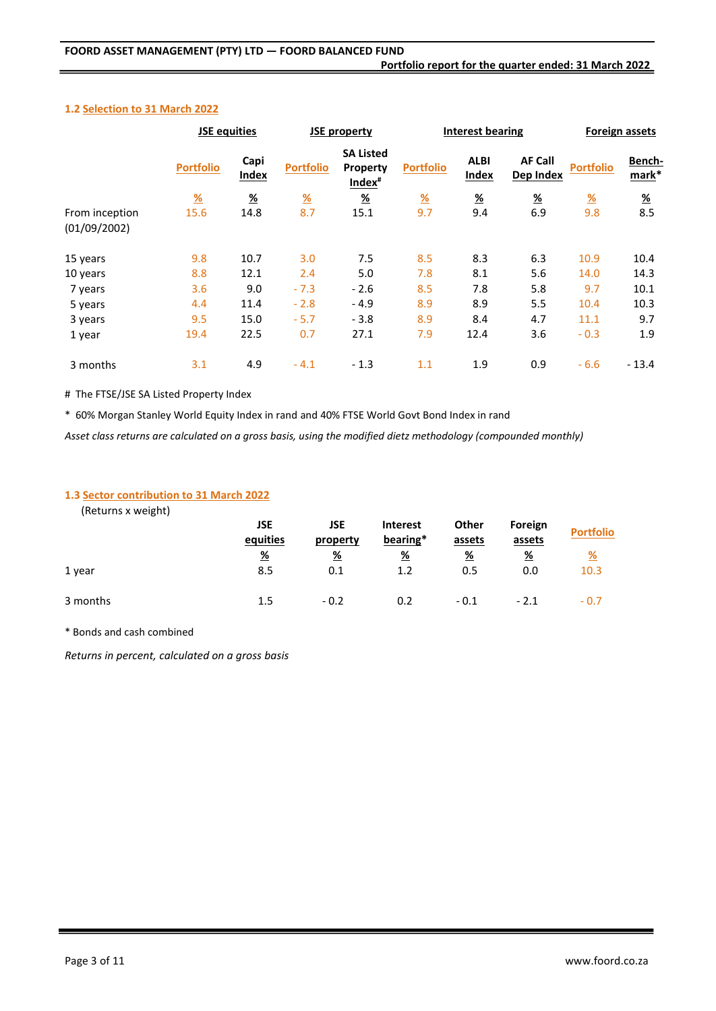## **1.2 Selection to 31 March 2022**

|                                | <b>JSE equities</b> |                       |                  | <b>JSE property</b>                                | <b>Interest bearing</b> |                       | <b>Foreign assets</b>       |                  |                       |
|--------------------------------|---------------------|-----------------------|------------------|----------------------------------------------------|-------------------------|-----------------------|-----------------------------|------------------|-----------------------|
|                                | <b>Portfolio</b>    | Capi<br>Index         | <b>Portfolio</b> | <b>SA Listed</b><br>Property<br>Index <sup>#</sup> | <b>Portfolio</b>        | <b>ALBI</b><br>Index  | <b>AF Call</b><br>Dep Index | <b>Portfolio</b> | Bench-<br>mark*       |
|                                | $\frac{9}{6}$       | $\frac{\%}{\sqrt{2}}$ | $\frac{9}{6}$    | $\frac{9}{6}$                                      | $\frac{9}{6}$           | $\frac{\%}{\sqrt{2}}$ | <u>%</u>                    | $\frac{9}{6}$    | $\frac{\%}{\sqrt{2}}$ |
| From inception<br>(01/09/2002) | 15.6                | 14.8                  | 8.7              | 15.1                                               | 9.7                     | 9.4                   | 6.9                         | 9.8              | 8.5                   |
| 15 years                       | 9.8                 | 10.7                  | 3.0              | 7.5                                                | 8.5                     | 8.3                   | 6.3                         | 10.9             | 10.4                  |
| 10 years                       | 8.8                 | 12.1                  | 2.4              | 5.0                                                | 7.8                     | 8.1                   | 5.6                         | 14.0             | 14.3                  |
| 7 years                        | 3.6                 | 9.0                   | $-7.3$           | $-2.6$                                             | 8.5                     | 7.8                   | 5.8                         | 9.7              | 10.1                  |
| 5 years                        | 4.4                 | 11.4                  | $-2.8$           | $-4.9$                                             | 8.9                     | 8.9                   | 5.5                         | 10.4             | 10.3                  |
| 3 years                        | 9.5                 | 15.0                  | $-5.7$           | $-3.8$                                             | 8.9                     | 8.4                   | 4.7                         | 11.1             | 9.7                   |
| 1 year                         | 19.4                | 22.5                  | 0.7              | 27.1                                               | 7.9                     | 12.4                  | 3.6                         | $-0.3$           | 1.9                   |
| 3 months                       | 3.1                 | 4.9                   | $-4.1$           | $-1.3$                                             | 1.1                     | 1.9                   | 0.9                         | $-6.6$           | $-13.4$               |

# The FTSE/JSE SA Listed Property Index

\* 60% Morgan Stanley World Equity Index in rand and 40% FTSE World Govt Bond Index in rand

*Asset class returns are calculated on a gross basis, using the modified dietz methodology (compounded monthly)*

## **1.3 Sector contribution to 31 March 2022**

(Returns x weight)

|          | JSE<br>equities | JSE<br>property | <b>Interest</b><br>bearing* | Other<br>assets | Foreign<br>assets | <b>Portfolio</b> |
|----------|-----------------|-----------------|-----------------------------|-----------------|-------------------|------------------|
|          | <u>%</u>        | $\frac{9}{6}$   | <u>%</u>                    | $\frac{9}{6}$   | $\frac{9}{6}$     | <u>%</u>         |
| 1 year   | 8.5             | 0.1             | 1.2                         | 0.5             | 0.0               | 10.3             |
| 3 months | 1.5             | $-0.2$          | 0.2                         | $-0.1$          | $-2.1$            | $-0.7$           |

\* Bonds and cash combined

*Returns in percent, calculated on a gross basis*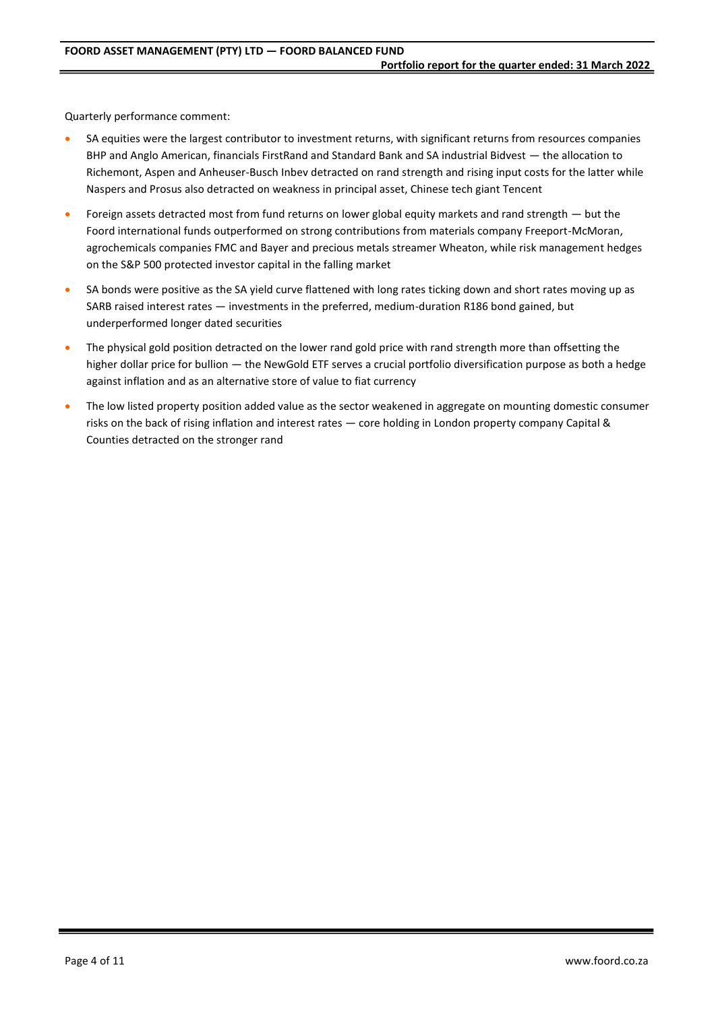Quarterly performance comment:

- SA equities were the largest contributor to investment returns, with significant returns from resources companies BHP and Anglo American, financials FirstRand and Standard Bank and SA industrial Bidvest — the allocation to Richemont, Aspen and Anheuser-Busch Inbev detracted on rand strength and rising input costs for the latter while Naspers and Prosus also detracted on weakness in principal asset, Chinese tech giant Tencent
- Foreign assets detracted most from fund returns on lower global equity markets and rand strength but the Foord international funds outperformed on strong contributions from materials company Freeport-McMoran, agrochemicals companies FMC and Bayer and precious metals streamer Wheaton, while risk management hedges on the S&P 500 protected investor capital in the falling market
- SA bonds were positive as the SA yield curve flattened with long rates ticking down and short rates moving up as SARB raised interest rates — investments in the preferred, medium-duration R186 bond gained, but underperformed longer dated securities
- The physical gold position detracted on the lower rand gold price with rand strength more than offsetting the higher dollar price for bullion — the NewGold ETF serves a crucial portfolio diversification purpose as both a hedge against inflation and as an alternative store of value to fiat currency
- The low listed property position added value as the sector weakened in aggregate on mounting domestic consumer risks on the back of rising inflation and interest rates — core holding in London property company Capital & Counties detracted on the stronger rand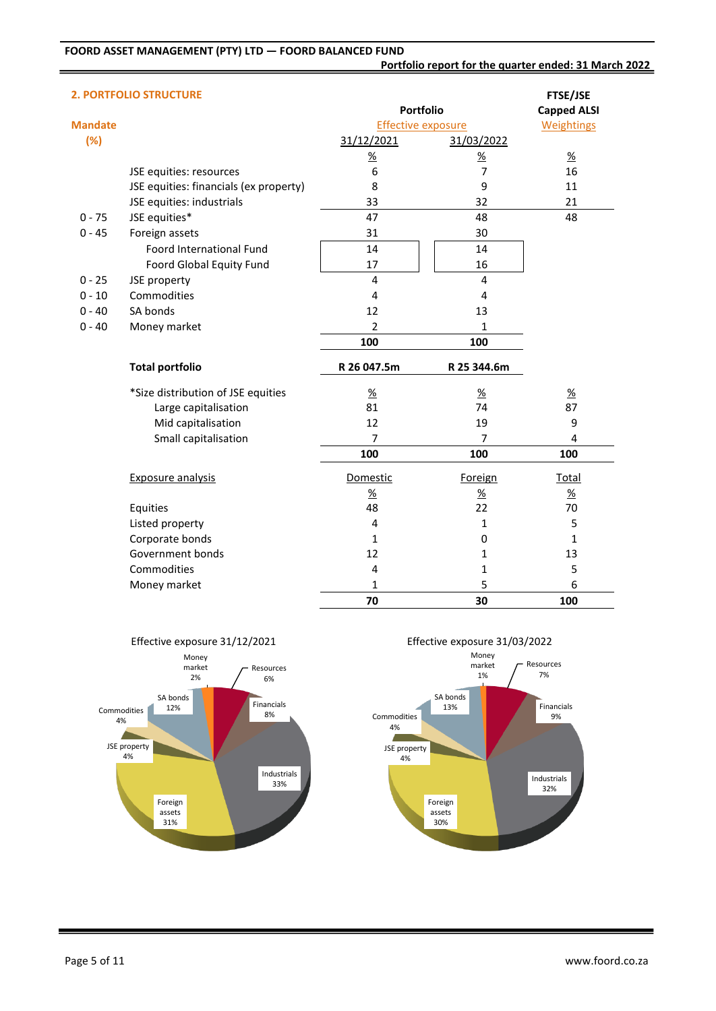**Portfolio report for the quarter ended: 31 March 2022**

|                | <b>2. PORTFOLIO STRUCTURE</b>          |                           |                | <b>FTSE/JSE</b>    |
|----------------|----------------------------------------|---------------------------|----------------|--------------------|
|                |                                        | Portfolio                 |                | <b>Capped ALSI</b> |
| <b>Mandate</b> |                                        | <b>Effective exposure</b> |                | <b>Weightings</b>  |
| (%)            |                                        | 31/12/2021                | 31/03/2022     |                    |
|                |                                        | $\frac{9}{6}$             | $\frac{9}{6}$  | $\frac{9}{6}$      |
|                | JSE equities: resources                | 6                         | $\overline{7}$ | 16                 |
|                | JSE equities: financials (ex property) | 8                         | 9              | 11                 |
|                | JSE equities: industrials              | 33                        | 32             | 21                 |
| $0 - 75$       | JSE equities*                          | 47                        | 48             | 48                 |
| $0 - 45$       | Foreign assets                         | 31                        | 30             |                    |
|                | Foord International Fund               | 14                        | 14             |                    |
|                | Foord Global Equity Fund               | 17                        | 16             |                    |
| $0 - 25$       | JSE property                           | $\overline{4}$            | 4              |                    |
| $0 - 10$       | Commodities                            | 4                         | $\overline{4}$ |                    |
| $0 - 40$       | SA bonds                               | 12                        | 13             |                    |
| $0 - 40$       | Money market                           | $\overline{2}$            | 1              |                    |
|                |                                        | 100                       | 100            |                    |
|                | <b>Total portfolio</b>                 | R 26 047.5m               | R 25 344.6m    |                    |
|                | *Size distribution of JSE equities     | $\frac{\%}{\%}$           | $\frac{9}{6}$  | $\frac{9}{6}$      |
|                | Large capitalisation                   | 81                        | 74             | 87                 |
|                | Mid capitalisation                     | 12                        | 19             | 9                  |
|                | Small capitalisation                   | 7                         | 7              | 4                  |
|                |                                        | 100                       | 100            | 100                |
|                | <b>Exposure analysis</b>               | Domestic                  | Foreign        | <b>Total</b>       |
|                |                                        | $\frac{9}{6}$             | $\frac{9}{6}$  | $\frac{9}{6}$      |
|                | Equities                               | 48                        | 22             | 70                 |
|                | Listed property                        | 4                         | 1              | 5                  |
|                | Corporate bonds                        | $\mathbf{1}$              | 0              | 1                  |
|                | Government bonds                       | 12                        | 1              | 13                 |
|                | Commodities                            | 4                         | 1              | 5                  |
|                | Money market                           | 1                         | 5              | 6                  |
|                |                                        | 70                        | 30             | 100                |





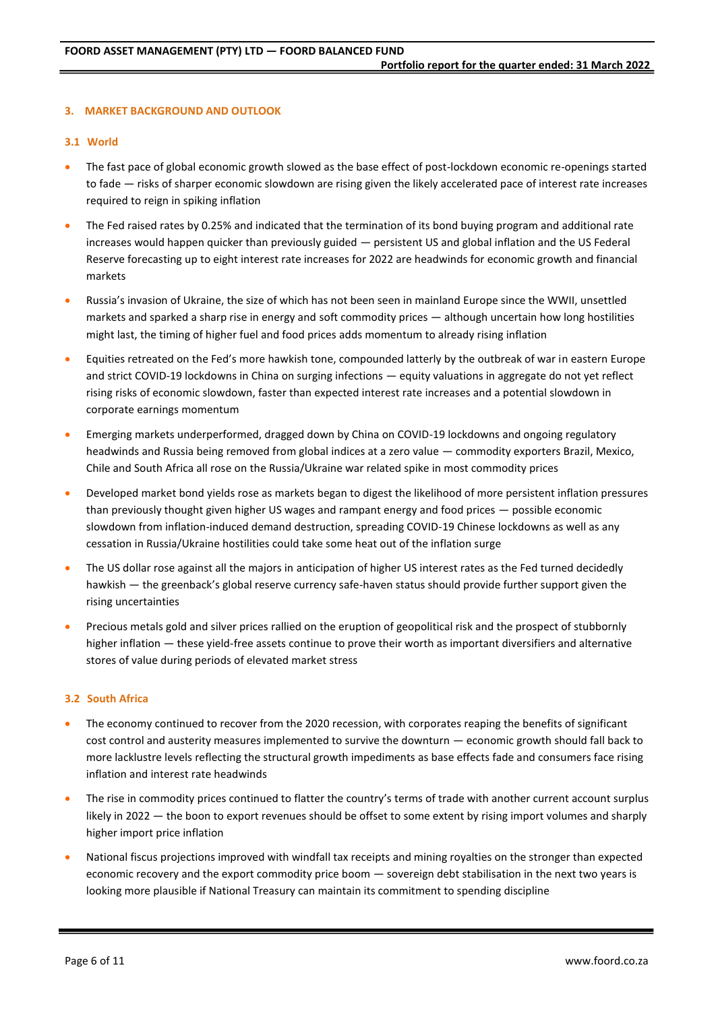## **3. MARKET BACKGROUND AND OUTLOOK**

### **3.1 World**

- The fast pace of global economic growth slowed as the base effect of post-lockdown economic re-openings started to fade — risks of sharper economic slowdown are rising given the likely accelerated pace of interest rate increases required to reign in spiking inflation
- The Fed raised rates by 0.25% and indicated that the termination of its bond buying program and additional rate increases would happen quicker than previously guided — persistent US and global inflation and the US Federal Reserve forecasting up to eight interest rate increases for 2022 are headwinds for economic growth and financial markets
- Russia's invasion of Ukraine, the size of which has not been seen in mainland Europe since the WWII, unsettled markets and sparked a sharp rise in energy and soft commodity prices — although uncertain how long hostilities might last, the timing of higher fuel and food prices adds momentum to already rising inflation
- Equities retreated on the Fed's more hawkish tone, compounded latterly by the outbreak of war in eastern Europe and strict COVID-19 lockdowns in China on surging infections — equity valuations in aggregate do not yet reflect rising risks of economic slowdown, faster than expected interest rate increases and a potential slowdown in corporate earnings momentum
- Emerging markets underperformed, dragged down by China on COVID-19 lockdowns and ongoing regulatory headwinds and Russia being removed from global indices at a zero value — commodity exporters Brazil, Mexico, Chile and South Africa all rose on the Russia/Ukraine war related spike in most commodity prices
- Developed market bond yields rose as markets began to digest the likelihood of more persistent inflation pressures than previously thought given higher US wages and rampant energy and food prices — possible economic slowdown from inflation-induced demand destruction, spreading COVID-19 Chinese lockdowns as well as any cessation in Russia/Ukraine hostilities could take some heat out of the inflation surge
- The US dollar rose against all the majors in anticipation of higher US interest rates as the Fed turned decidedly hawkish — the greenback's global reserve currency safe-haven status should provide further support given the rising uncertainties
- Precious metals gold and silver prices rallied on the eruption of geopolitical risk and the prospect of stubbornly higher inflation — these yield-free assets continue to prove their worth as important diversifiers and alternative stores of value during periods of elevated market stress

#### **3.2 South Africa**

- The economy continued to recover from the 2020 recession, with corporates reaping the benefits of significant cost control and austerity measures implemented to survive the downturn — economic growth should fall back to more lacklustre levels reflecting the structural growth impediments as base effects fade and consumers face rising inflation and interest rate headwinds
- The rise in commodity prices continued to flatter the country's terms of trade with another current account surplus likely in 2022 — the boon to export revenues should be offset to some extent by rising import volumes and sharply higher import price inflation
- National fiscus projections improved with windfall tax receipts and mining royalties on the stronger than expected economic recovery and the export commodity price boom — sovereign debt stabilisation in the next two years is looking more plausible if National Treasury can maintain its commitment to spending discipline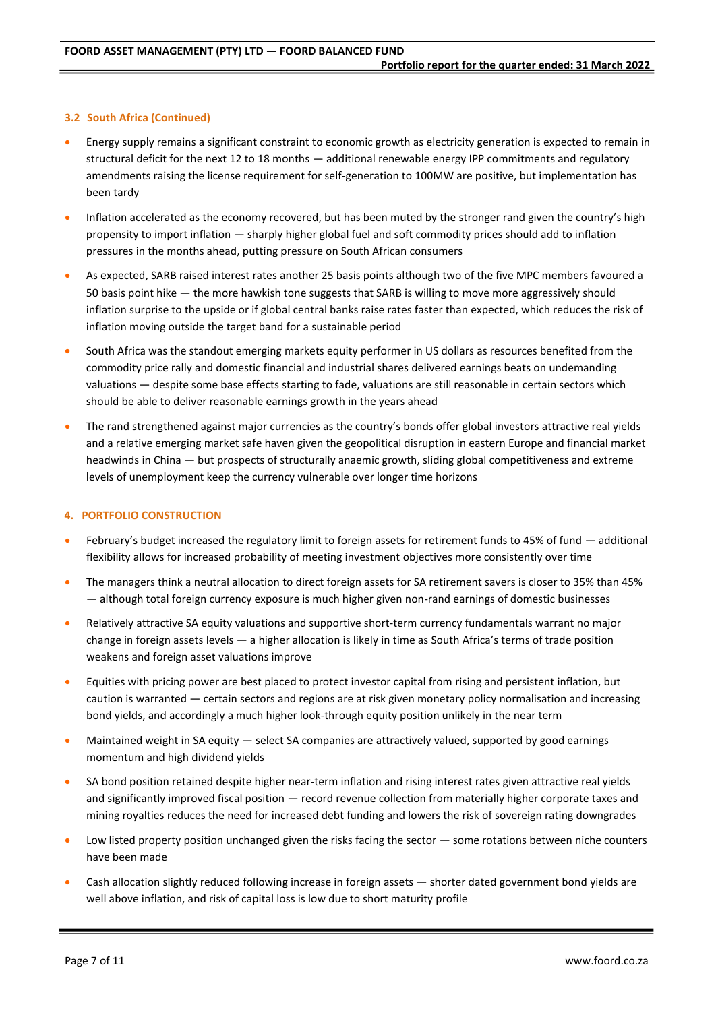## **3.2 South Africa (Continued)**

- Energy supply remains a significant constraint to economic growth as electricity generation is expected to remain in structural deficit for the next 12 to 18 months — additional renewable energy IPP commitments and regulatory amendments raising the license requirement for self-generation to 100MW are positive, but implementation has been tardy
- Inflation accelerated as the economy recovered, but has been muted by the stronger rand given the country's high propensity to import inflation — sharply higher global fuel and soft commodity prices should add to inflation pressures in the months ahead, putting pressure on South African consumers
- As expected, SARB raised interest rates another 25 basis points although two of the five MPC members favoured a 50 basis point hike — the more hawkish tone suggests that SARB is willing to move more aggressively should inflation surprise to the upside or if global central banks raise rates faster than expected, which reduces the risk of inflation moving outside the target band for a sustainable period
- South Africa was the standout emerging markets equity performer in US dollars as resources benefited from the commodity price rally and domestic financial and industrial shares delivered earnings beats on undemanding valuations — despite some base effects starting to fade, valuations are still reasonable in certain sectors which should be able to deliver reasonable earnings growth in the years ahead
- The rand strengthened against major currencies as the country's bonds offer global investors attractive real yields and a relative emerging market safe haven given the geopolitical disruption in eastern Europe and financial market headwinds in China — but prospects of structurally anaemic growth, sliding global competitiveness and extreme levels of unemployment keep the currency vulnerable over longer time horizons

#### **4. PORTFOLIO CONSTRUCTION**

- February's budget increased the regulatory limit to foreign assets for retirement funds to 45% of fund additional flexibility allows for increased probability of meeting investment objectives more consistently over time
- The managers think a neutral allocation to direct foreign assets for SA retirement savers is closer to 35% than 45% — although total foreign currency exposure is much higher given non-rand earnings of domestic businesses
- Relatively attractive SA equity valuations and supportive short-term currency fundamentals warrant no major change in foreign assets levels — a higher allocation is likely in time as South Africa's terms of trade position weakens and foreign asset valuations improve
- Equities with pricing power are best placed to protect investor capital from rising and persistent inflation, but caution is warranted — certain sectors and regions are at risk given monetary policy normalisation and increasing bond yields, and accordingly a much higher look-through equity position unlikely in the near term
- Maintained weight in SA equity select SA companies are attractively valued, supported by good earnings momentum and high dividend yields
- SA bond position retained despite higher near-term inflation and rising interest rates given attractive real yields and significantly improved fiscal position — record revenue collection from materially higher corporate taxes and mining royalties reduces the need for increased debt funding and lowers the risk of sovereign rating downgrades
- Low listed property position unchanged given the risks facing the sector  $-$  some rotations between niche counters have been made
- Cash allocation slightly reduced following increase in foreign assets shorter dated government bond yields are well above inflation, and risk of capital loss is low due to short maturity profile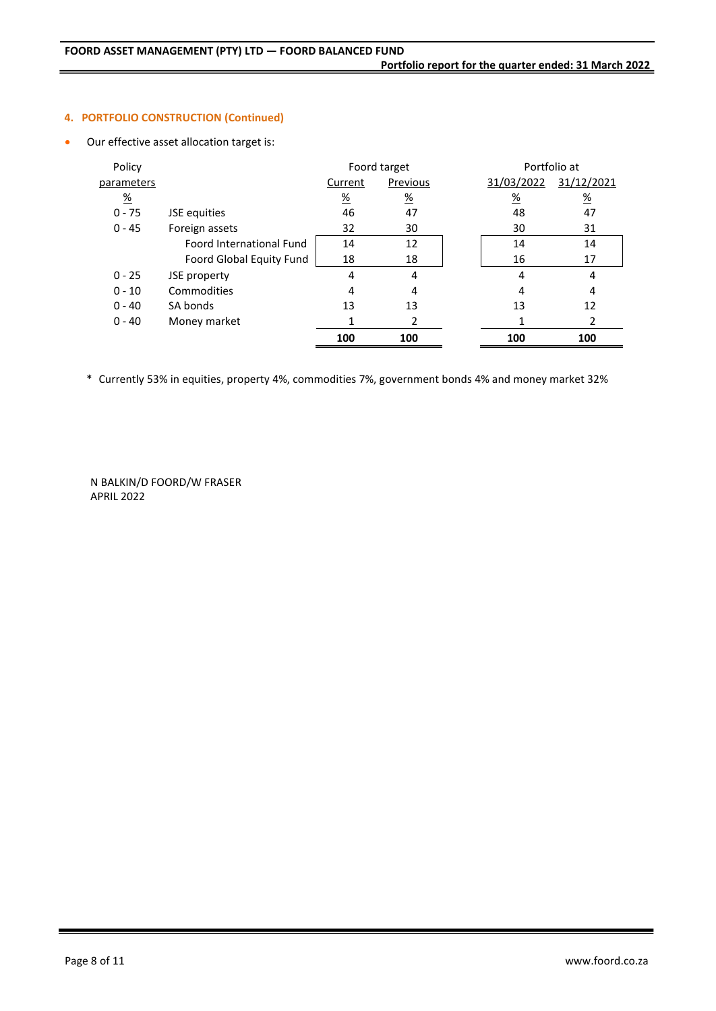## **4. PORTFOLIO CONSTRUCTION (Continued)**

Our effective asset allocation target is:

| Policy          |                                 |               | Foord target    | Portfolio at    |                 |
|-----------------|---------------------------------|---------------|-----------------|-----------------|-----------------|
| parameters      |                                 | Current       | Previous        | 31/03/2022      | 31/12/2021      |
| $\frac{\%}{\%}$ |                                 | $\frac{9}{6}$ | $\frac{\%}{\%}$ | $\frac{\%}{\%}$ | $\frac{\%}{\%}$ |
| $0 - 75$        | JSE equities                    | 46            | 47              | 48              | 47              |
| $0 - 45$        | Foreign assets                  | 32            | 30              | 30              | 31              |
|                 | <b>Foord International Fund</b> | 14            | 12              | 14              | 14              |
|                 | Foord Global Equity Fund        | 18            | 18              | 16              | 17              |
| $0 - 25$        | JSE property                    | 4             | 4               | 4               | 4               |
| $0 - 10$        | Commodities                     | 4             | 4               | 4               | 4               |
| $0 - 40$        | SA bonds                        | 13            | 13              | 13              | 12              |
| $0 - 40$        | Money market                    |               | 2               |                 | 2               |
|                 |                                 | 100           | 100             | 100             | 100             |

\* Currently 53% in equities, property 4%, commodities 7%, government bonds 4% and money market 32%

N BALKIN/D FOORD/W FRASER APRIL 2022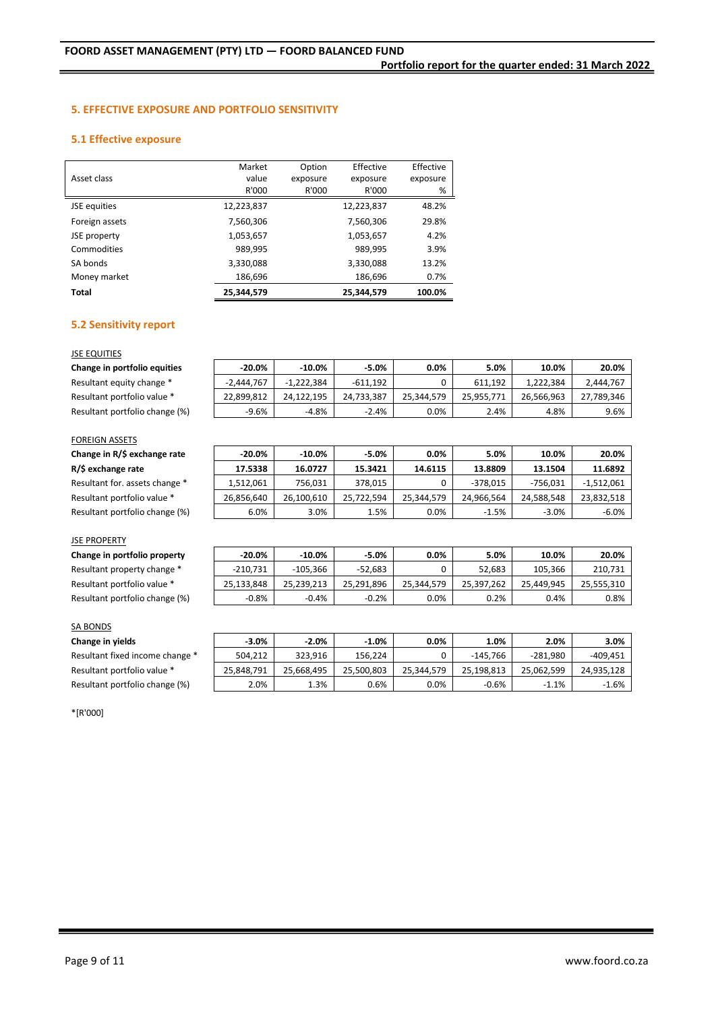## **5. EFFECTIVE EXPOSURE AND PORTFOLIO SENSITIVITY**

## **5.1 Effective exposure**

|                | Market     | Option   | Effective  | Effective |
|----------------|------------|----------|------------|-----------|
| Asset class    | value      | exposure | exposure   | exposure  |
|                | R'000      | R'000    | R'000      | %         |
| JSE equities   | 12,223,837 |          | 12,223,837 | 48.2%     |
| Foreign assets | 7,560,306  |          | 7,560,306  | 29.8%     |
| JSE property   | 1,053,657  |          | 1,053,657  | 4.2%      |
| Commodities    | 989,995    |          | 989,995    | 3.9%      |
| SA bonds       | 3,330,088  |          | 3,330,088  | 13.2%     |
| Money market   | 186,696    |          | 186,696    | 0.7%      |
| Total          | 25.344.579 |          | 25.344.579 | 100.0%    |

## **5.2 Sensitivity report**

### JSE EQUITIES

| Change in portfolio equities   | $-20.0\%$    | $-10.0\%$    | $-5.0%$    | 0.0%       | 5.0%       | 10.0%      | 20.0%      |
|--------------------------------|--------------|--------------|------------|------------|------------|------------|------------|
| Resultant equity change *      | $-2.444.767$ | $-1.222.384$ | $-611.192$ |            | 611.192    | 1.222.384  | 2,444,767  |
| Resultant portfolio value *    | 22.899.812   | 24.122.195   | 24.733.387 | 25.344.579 | 25.955.771 | 26.566.963 | 27.789.346 |
| Resultant portfolio change (%) | -9.6%        | $-4.8%$      | $-2.4%$    | 0.0%       | 2.4%       | 4.8%       | 9.6%       |

## FOREIGN ASSETS

| Change in R/\$ exchange rate |
|------------------------------|
| R/\$ exchange rate           |

| Resultant for. assets change * |
|--------------------------------|
| Resultant portfolio value *    |
| Resultant portfolio change (%) |

#### JSE PROPERTY

| Change in portfolio property   |
|--------------------------------|
| Resultant property change *    |
| Resultant portfolio value *    |
| Resultant portfolio change (%) |

| <b>SA BONDS</b> |  |
|-----------------|--|

## **Change in yields -3.0% -2.0% -1.0% 0.0% 1.0% 2.0% 3.0%**

| Resultant fixed income change * |
|---------------------------------|
| Resultant portfolio value *     |
| Resultant portfolio change (%)  |

\*[R'000]

| <b>FOREIGN ASSETS</b>          |            |            |            |            |            |            |              |
|--------------------------------|------------|------------|------------|------------|------------|------------|--------------|
| Change in R/\$ exchange rate   | $-20.0\%$  | $-10.0%$   | $-5.0%$    | 0.0%       | 5.0%       | 10.0%      | 20.0%        |
| R/\$ exchange rate             | 17.5338    | 16.0727    | 15.3421    | 14.6115    | 13.8809    | 13.1504    | 11.6892      |
| Resultant for. assets change * | 1,512,061  | 756,031    | 378,015    |            | -378,015   | $-756,031$ | $-1,512,061$ |
| Resultant portfolio value *    | 26,856,640 | 26,100,610 | 25,722,594 | 25,344,579 | 24,966,564 | 24,588,548 | 23,832,518   |
| Resultant portfolio change (%) | 6.0%       | 3.0%       | 1.5%       | 0.0%       | $-1.5%$    | $-3.0%$    | $-6.0%$      |

| Change in portfolio property   | $-20.0\%$  | $-10.0%$   | $-5.0%$    | 0.0%       | 5.0%       | 10.0%      | 20.0%      |
|--------------------------------|------------|------------|------------|------------|------------|------------|------------|
| Resultant property change *    | $-210.731$ | $-105.366$ | $-52.683$  |            | 52.683     | 105.366    | 210,731    |
| Resultant portfolio value *    | 25.133.848 | 25.239.213 | 25.291.896 | 25.344.579 | 25.397.262 | 25.449.945 | 25.555.310 |
| Resultant portfolio change (%) | $-0.8%$    | $-0.4%$    | $-0.2%$    | $0.0\%$    | 0.2%       | 0.4%       | $0.8\%$    |

| Change in yields                | $-3.0%$    | $-2.0%$    | $-1.0%$    | 0.0%       | 1.0%       | 2.0%       | 3.0%       |
|---------------------------------|------------|------------|------------|------------|------------|------------|------------|
| Resultant fixed income change * | 504.212    | 323.916    | 156.224    |            | $-145.766$ | $-281.980$ | $-409.451$ |
| Resultant portfolio value *     | 25,848,791 | 25.668.495 | 25.500.803 | 25.344.579 | 25.198.813 | 25.062.599 | 24,935,128 |
| Resultant portfolio change (%)  | 2.0%       | 1.3%       | 0.6%       | $0.0\%$    | $-0.6%$    | $-1.1%$    | $-1.6%$    |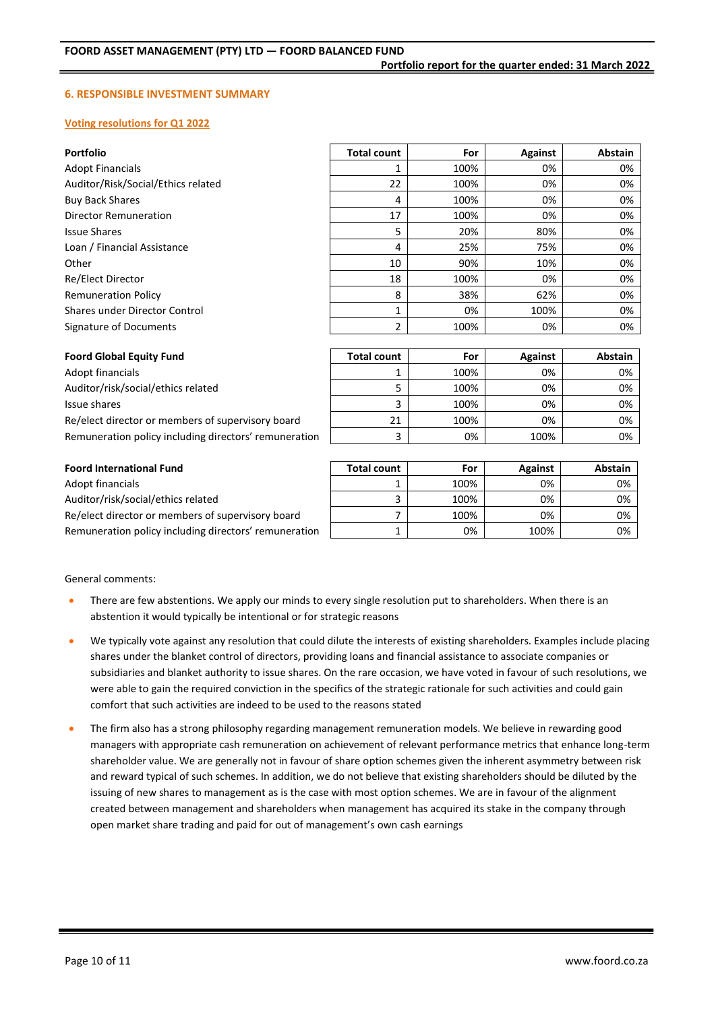### **6. RESPONSIBLE INVESTMENT SUMMARY**

#### **Voting resolutions for Q1 2022**

| <b>Portfolio</b>                   | <b>Total count</b> | For  | Against | Abstain        |
|------------------------------------|--------------------|------|---------|----------------|
| <b>Adopt Financials</b>            |                    | 100% | 0%      | 0%             |
| Auditor/Risk/Social/Ethics related | 22                 | 100% | 0%      | 0%             |
| <b>Buy Back Shares</b>             | 4                  | 100% | 0%      | 0%             |
| Director Remuneration              | 17                 | 100% | 0%      | 0%             |
| <b>Issue Shares</b>                | 5                  | 20%  | 80%     | 0%             |
| Loan / Financial Assistance        | 4                  | 25%  | 75%     | 0%             |
| Other                              | 10                 | 90%  | 10%     | 0%             |
| Re/Elect Director                  | 18                 | 100% | 0%      | 0%             |
| <b>Remuneration Policy</b>         | 8                  | 38%  | 62%     | 0%             |
| Shares under Director Control      | 1                  | 0%   | 100%    | 0%             |
| Signature of Documents             | 2                  | 100% | 0%      | 0%             |
|                                    |                    |      |         |                |
| <b>Foord Global Equity Fund</b>    | <b>Total count</b> | For  | Against | <b>Abstain</b> |

| Foord Giobal Equity Fund                              | Total count | ror  | Against | Abstain |
|-------------------------------------------------------|-------------|------|---------|---------|
| Adopt financials                                      |             | 100% | 0%      | 0%      |
| Auditor/risk/social/ethics related                    |             | 100% | 0%      | 0%      |
| Issue shares                                          |             | 100% | 0%      | 0%      |
| Re/elect director or members of supervisory board     | 21          | 100% | 0%      | 0%      |
| Remuneration policy including directors' remuneration |             | 0%   | 100%    | 0%      |

| <b>Foord International Fund</b>                       | <b>Total count</b> | For  | Against | Abstain |
|-------------------------------------------------------|--------------------|------|---------|---------|
| Adopt financials                                      |                    | 100% | 0%      | 0%      |
| Auditor/risk/social/ethics related                    |                    | 100% | 0%      | 0%      |
| Re/elect director or members of supervisory board     |                    | 100% | 0%      | 0%      |
| Remuneration policy including directors' remuneration |                    | 0%   | 100%    | 0%      |

General comments:

- There are few abstentions. We apply our minds to every single resolution put to shareholders. When there is an abstention it would typically be intentional or for strategic reasons
- We typically vote against any resolution that could dilute the interests of existing shareholders. Examples include placing shares under the blanket control of directors, providing loans and financial assistance to associate companies or subsidiaries and blanket authority to issue shares. On the rare occasion, we have voted in favour of such resolutions, we were able to gain the required conviction in the specifics of the strategic rationale for such activities and could gain comfort that such activities are indeed to be used to the reasons stated
- The firm also has a strong philosophy regarding management remuneration models. We believe in rewarding good managers with appropriate cash remuneration on achievement of relevant performance metrics that enhance long-term shareholder value. We are generally not in favour of share option schemes given the inherent asymmetry between risk and reward typical of such schemes. In addition, we do not believe that existing shareholders should be diluted by the issuing of new shares to management as is the case with most option schemes. We are in favour of the alignment created between management and shareholders when management has acquired its stake in the company through open market share trading and paid for out of management's own cash earnings